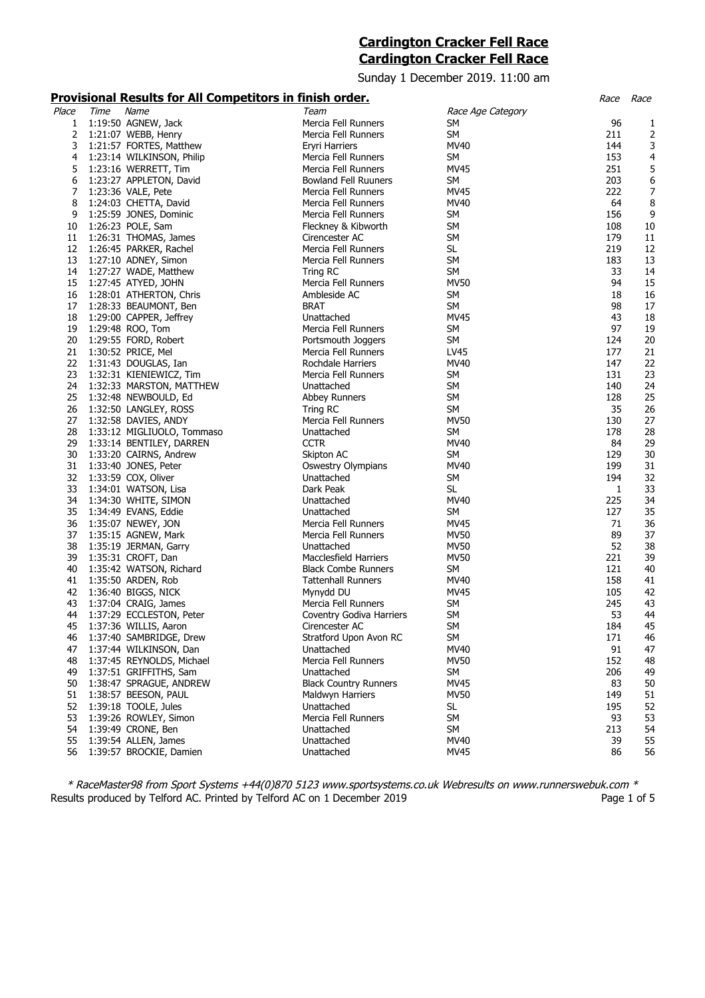# **Cardington Cracker Fell Race Cardington Cracker Fell Race**

Sunday 1 December 2019. 11:00 am

# **Provisional Results for All Competitors in finish order.** Noting the state of the Race Race Race Race Race Race

| Place | Time | Name                       | Team                         | Race Age Category |     |    |
|-------|------|----------------------------|------------------------------|-------------------|-----|----|
| 1     |      | 1:19:50 AGNEW, Jack        | Mercia Fell Runners          | SM                | 96  | 1  |
| 2     |      | 1:21:07 WEBB, Henry        | Mercia Fell Runners          | SM                | 211 | 2  |
| 3     |      | 1:21:57 FORTES, Matthew    | Eryri Harriers               | MV40              | 144 | 3  |
| 4     |      | 1:23:14 WILKINSON, Philip  | Mercia Fell Runners          | SM                | 153 | 4  |
| 5     |      | 1:23:16 WERRETT, Tim       | Mercia Fell Runners          | MV45              | 251 | 5  |
| 6     |      | 1:23:27 APPLETON, David    | <b>Bowland Fell Ruuners</b>  | SM                | 203 | 6  |
| 7     |      |                            | Mercia Fell Runners          | MV45              | 222 | 7  |
|       |      | 1:23:36 VALE, Pete         |                              |                   |     |    |
| 8     |      | 1:24:03 CHETTA, David      | Mercia Fell Runners          | MV40              | 64  | 8  |
| 9     |      | 1:25:59 JONES, Dominic     | Mercia Fell Runners          | SM                | 156 | 9  |
| 10    |      | 1:26:23 POLE, Sam          | Fleckney & Kibworth          | SM                | 108 | 10 |
| 11    |      | 1:26:31 THOMAS, James      | Cirencester AC               | SM                | 179 | 11 |
| 12    |      | 1:26:45 PARKER, Rachel     | Mercia Fell Runners          | <b>SL</b>         | 219 | 12 |
| 13    |      | 1:27:10 ADNEY, Simon       | Mercia Fell Runners          | SM                | 183 | 13 |
| 14    |      | 1:27:27 WADE, Matthew      | Tring RC                     | <b>SM</b>         | 33  | 14 |
| 15    |      | 1:27:45 ATYED, JOHN        | Mercia Fell Runners          | <b>MV50</b>       | 94  | 15 |
| 16    |      | 1:28:01 ATHERTON, Chris    | Ambleside AC                 | SM                | 18  | 16 |
| 17    |      | 1:28:33 BEAUMONT, Ben      | BRAT                         | SM                | 98  | 17 |
|       |      |                            |                              |                   |     |    |
| 18    |      | 1:29:00 CAPPER, Jeffrey    | Unattached                   | MV45              | 43  | 18 |
| 19    |      | 1:29:48 ROO, Tom           | Mercia Fell Runners          | <b>SM</b>         | 97  | 19 |
| 20    |      | 1:29:55 FORD, Robert       | Portsmouth Joggers           | SM                | 124 | 20 |
| 21    |      | 1:30:52 PRICE, Mel         | Mercia Fell Runners          | LV45              | 177 | 21 |
| 22    |      | 1:31:43 DOUGLAS, Ian       | Rochdale Harriers            | MV40              | 147 | 22 |
| 23    |      | 1:32:31 KIENIEWICZ, Tim    | Mercia Fell Runners          | SM                | 131 | 23 |
| 24    |      | 1:32:33 MARSTON, MATTHEW   | Unattached                   | SM                | 140 | 24 |
| 25    |      | 1:32:48 NEWBOULD, Ed       | Abbey Runners                | <b>SM</b>         | 128 | 25 |
| 26    |      | 1:32:50 LANGLEY, ROSS      | Tring RC                     | SM                | 35  | 26 |
| 27    |      | 1:32:58 DAVIES, ANDY       | Mercia Fell Runners          | <b>MV50</b>       | 130 | 27 |
|       |      |                            |                              |                   |     |    |
| 28    |      | 1:33:12 MIGLIUOLO, Tommaso | Unattached                   | SM                | 178 | 28 |
| 29    |      | 1:33:14 BENTILEY, DARREN   | <b>CCTR</b>                  | MV40              | 84  | 29 |
| 30    |      | 1:33:20 CAIRNS, Andrew     | Skipton AC                   | <b>SM</b>         | 129 | 30 |
| 31    |      | 1:33:40 JONES, Peter       | <b>Oswestry Olympians</b>    | MV40              | 199 | 31 |
| 32    |      | 1:33:59 COX, Oliver        | Unattached                   | SM                | 194 | 32 |
| 33    |      | 1:34:01 WATSON, Lisa       | Dark Peak                    | <b>SL</b>         | 1   | 33 |
| 34    |      | 1:34:30 WHITE, SIMON       | Unattached                   | MV40              | 225 | 34 |
| 35    |      | 1:34:49 EVANS, Eddie       | Unattached                   | SM                | 127 | 35 |
| 36    |      | 1:35:07 NEWEY, JON         | Mercia Fell Runners          | MV45              | 71  | 36 |
| 37    |      | 1:35:15 AGNEW, Mark        | Mercia Fell Runners          | <b>MV50</b>       | 89  | 37 |
| 38    |      |                            | Unattached                   | <b>MV50</b>       | 52  | 38 |
|       |      | 1:35:19 JERMAN, Garry      |                              |                   |     |    |
| 39    |      | 1:35:31 CROFT, Dan         | Macclesfield Harriers        | <b>MV50</b>       | 221 | 39 |
| 40    |      | 1:35:42 WATSON, Richard    | <b>Black Combe Runners</b>   | SM                | 121 | 40 |
| 41    |      | 1:35:50 ARDEN, Rob         | <b>Tattenhall Runners</b>    | MV40              | 158 | 41 |
| 42    |      | 1:36:40 BIGGS, NICK        | Mynydd DU                    | <b>MV45</b>       | 105 | 42 |
| 43    |      | 1:37:04 CRAIG, James       | Mercia Fell Runners          | <b>SM</b>         | 245 | 43 |
| 44    |      | 1:37:29 ECCLESTON, Peter   | Coventry Godiva Harriers     | <b>SM</b>         | 53  | 44 |
| 45    |      | 1:37:36 WILLIS, Aaron      | Cirencester AC               | <b>SM</b>         | 184 | 45 |
| 46    |      | 1:37:40 SAMBRIDGE, Drew    | Stratford Upon Avon RC       | SM                | 171 | 46 |
| 47    |      | 1:37:44 WILKINSON, Dan     | Unattached                   | MV40              | 91  | 47 |
| 48    |      | 1:37:45 REYNOLDS, Michael  | Mercia Fell Runners          | <b>MV50</b>       | 152 | 48 |
| 49    |      | 1:37:51 GRIFFITHS, Sam     | Unattached                   | SM                | 206 | 49 |
|       |      |                            |                              |                   |     |    |
| 50    |      | 1:38:47 SPRAGUE, ANDREW    | <b>Black Country Runners</b> | <b>MV45</b>       | 83  | 50 |
| 51    |      | 1:38:57 BEESON, PAUL       | Maldwyn Harriers             | <b>MV50</b>       | 149 | 51 |
| 52    |      | 1:39:18 TOOLE, Jules       | Unattached                   | SL.               | 195 | 52 |
| 53    |      | 1:39:26 ROWLEY, Simon      | Mercia Fell Runners          | SM                | 93  | 53 |
| 54    |      | 1:39:49 CRONE, Ben         | Unattached                   | SM                | 213 | 54 |
| 55    |      | 1:39:54 ALLEN, James       | Unattached                   | MV40              | 39  | 55 |
| 56    |      | 1:39:57 BROCKIE, Damien    | Unattached                   | <b>MV45</b>       | 86  | 56 |
|       |      |                            |                              |                   |     |    |

\* RaceMaster98 from Sport Systems +44(0)870 5123 www.sportsystems.co.uk Webresults on www.runnerswebuk.com \* Results produced by Telford AC. Printed by Telford AC on 1 December 2019 **Page 1 of 5** Page 1 of 5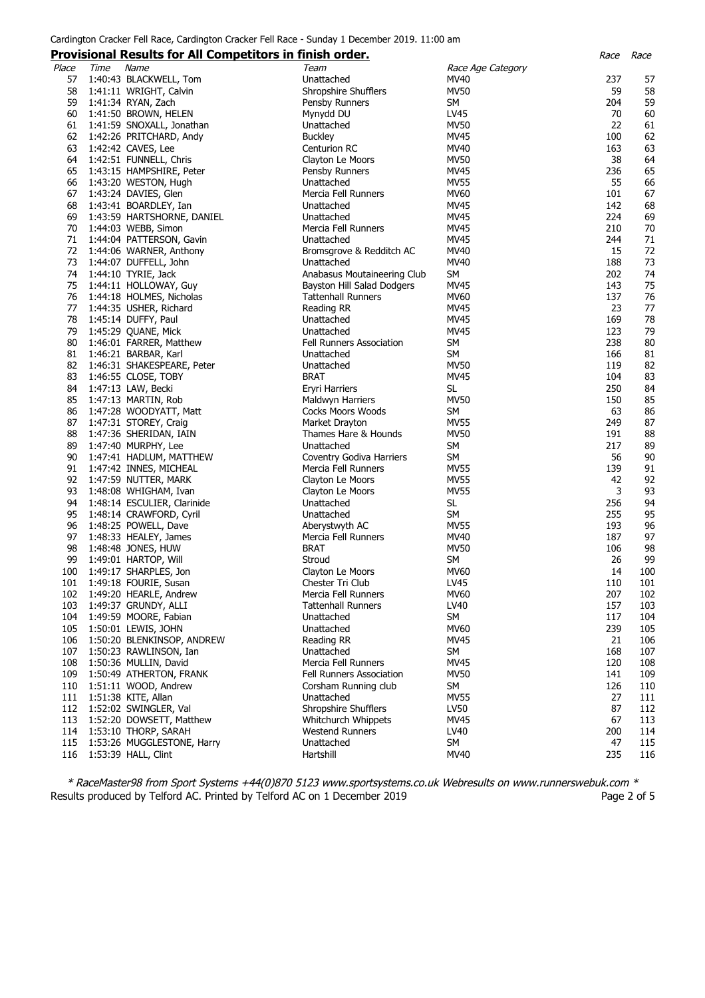### Cardington Cracker Fell Race, Cardington Cracker Fell Race - Sunday 1 December 2019. 11:00 am

# **Provisional Results for All Competitors in finish order.** Race Race

|       |      |                             |                                 |                   |     | $rac{c}{c}$ |
|-------|------|-----------------------------|---------------------------------|-------------------|-----|-------------|
| Place | Time | Name                        | Team                            | Race Age Category |     |             |
| 57    |      | 1:40:43 BLACKWELL, Tom      | Unattached                      | MV40              | 237 | 57          |
| 58    |      | 1:41:11 WRIGHT, Calvin      | Shropshire Shufflers            | MV50              | 59  | 58          |
| 59    |      |                             |                                 | SM                | 204 | 59          |
|       |      | 1:41:34 RYAN, Zach          | Pensby Runners                  |                   |     |             |
| 60    |      | 1:41:50 BROWN, HELEN        | Mynydd DU                       | LV45              | 70  | 60          |
| 61    |      | 1:41:59 SNOXALL, Jonathan   | Unattached                      | <b>MV50</b>       | 22  | 61          |
| 62    |      | 1:42:26 PRITCHARD, Andy     | <b>Buckley</b>                  | MV45              | 100 | 62          |
| 63    |      | 1:42:42 CAVES, Lee          | Centurion RC                    | MV40              | 163 | 63          |
| 64    |      | 1:42:51 FUNNELL, Chris      | Clayton Le Moors                | MV50              | 38  | 64          |
|       |      |                             |                                 | <b>MV45</b>       | 236 |             |
| 65    |      | 1:43:15 HAMPSHIRE, Peter    | Pensby Runners                  |                   |     | 65          |
| 66    |      | 1:43:20 WESTON, Hugh        | Unattached                      | <b>MV55</b>       | 55  | 66          |
| 67    |      | 1:43:24 DAVIES, Glen        | Mercia Fell Runners             | MV60              | 101 | 67          |
| 68    |      | 1:43:41 BOARDLEY, Ian       | Unattached                      | <b>MV45</b>       | 142 | 68          |
| 69    |      | 1:43:59 HARTSHORNE, DANIEL  | Unattached                      | <b>MV45</b>       | 224 | 69          |
| 70    |      | 1:44:03 WEBB, Simon         | Mercia Fell Runners             | MV45              | 210 | 70          |
| 71    |      | 1:44:04 PATTERSON, Gavin    | Unattached                      | MV45              | 244 | 71          |
|       |      |                             |                                 |                   |     |             |
| 72    |      | 1:44:06 WARNER, Anthony     | Bromsgrove & Redditch AC        | MV40              | 15  | 72          |
| 73    |      | 1:44:07 DUFFELL, John       | Unattached                      | MV40              | 188 | 73          |
| 74    |      | 1:44:10 TYRIE, Jack         | Anabasus Moutaineering Club     | SM                | 202 | 74          |
| 75    |      | 1:44:11 HOLLOWAY, Guy       | Bayston Hill Salad Dodgers      | MV45              | 143 | 75          |
| 76    |      | 1:44:18 HOLMES, Nicholas    | <b>Tattenhall Runners</b>       | MV60              | 137 | 76          |
| 77    |      | 1:44:35 USHER, Richard      | Reading RR                      | MV45              | 23  | 77          |
|       |      |                             |                                 |                   |     |             |
| 78    |      | 1:45:14 DUFFY, Paul         | Unattached                      | <b>MV45</b>       | 169 | 78          |
| 79    |      | 1:45:29 QUANE, Mick         | Unattached                      | <b>MV45</b>       | 123 | 79          |
| 80    |      | 1:46:01 FARRER, Matthew     | Fell Runners Association        | SM                | 238 | 80          |
| 81    |      | 1:46:21 BARBAR, Karl        | Unattached                      | SM                | 166 | 81          |
| 82    |      | 1:46:31 SHAKESPEARE, Peter  | Unattached                      | MV50              | 119 | 82          |
| 83    |      | 1:46:55 CLOSE, TOBY         | <b>BRAT</b>                     | <b>MV45</b>       | 104 | 83          |
| 84    |      | 1:47:13 LAW, Becki          | <b>Eryri Harriers</b>           | <b>SL</b>         | 250 | 84          |
|       |      |                             |                                 |                   |     |             |
| 85    |      | 1:47:13 MARTIN, Rob         | Maldwyn Harriers                | MV50              | 150 | 85          |
| 86    |      | 1:47:28 WOODYATT, Matt      | <b>Cocks Moors Woods</b>        | SM                | 63  | 86          |
| 87    |      | 1:47:31 STOREY, Craig       | Market Drayton                  | <b>MV55</b>       | 249 | 87          |
| 88    |      | 1:47:36 SHERIDAN, IAIN      | Thames Hare & Hounds            | <b>MV50</b>       | 191 | 88          |
| 89    |      | 1:47:40 MURPHY, Lee         | Unattached                      | <b>SM</b>         | 217 | 89          |
| 90    |      | 1:47:41 HADLUM, MATTHEW     | Coventry Godiva Harriers        | SM                | 56  | 90          |
| 91    |      | 1:47:42 INNES, MICHEAL      | Mercia Fell Runners             | MV55              | 139 | 91          |
|       |      |                             |                                 |                   |     |             |
| 92    |      | 1:47:59 NUTTER, MARK        | Clayton Le Moors                | MV55              | 42  | 92          |
| 93    |      | 1:48:08 WHIGHAM, Ivan       | Clayton Le Moors                | <b>MV55</b>       | 3   | 93          |
| 94    |      | 1:48:14 ESCULIER, Clarinide | Unattached                      | SL                | 256 | 94          |
| 95    |      | 1:48:14 CRAWFORD, Cyril     | Unattached                      | SM                | 255 | 95          |
| 96    |      | 1:48:25 POWELL, Dave        | Aberystwyth AC                  | <b>MV55</b>       | 193 | 96          |
| 97    |      | 1:48:33 HEALEY, James       | Mercia Fell Runners             | MV40              | 187 | 97          |
| 98    |      | 1:48:48 JONES, HUW          | <b>BRAT</b>                     | <b>MV50</b>       | 106 | 98          |
|       |      |                             |                                 |                   |     |             |
| 99    |      | 1:49:01 HARTOP, Will        | Stroud                          | SM                | 26  | 99          |
| 100   |      | 1:49:17 SHARPLES, Jon       | Clayton Le Moors                | MV60              | 14  | 100         |
| 101   |      | 1:49:18 FOURIE, Susan       | Chester Tri Club                | LV45              | 110 | 101         |
| 102   |      | 1:49:20 HEARLE, Andrew      | Mercia Fell Runners             | <b>MV60</b>       | 207 | 102         |
| 103   |      | 1:49:37 GRUNDY, ALLI        | <b>Tattenhall Runners</b>       | LV40              | 157 | 103         |
| 104   |      | 1:49:59 MOORE, Fabian       | Unattached                      | <b>SM</b>         | 117 | 104         |
|       |      |                             |                                 |                   |     |             |
| 105   |      | 1:50:01 LEWIS, JOHN         | Unattached                      | <b>MV60</b>       | 239 | 105         |
| 106   |      | 1:50:20 BLENKINSOP, ANDREW  | Reading RR                      | MV45              | 21  | 106         |
| 107   |      | 1:50:23 RAWLINSON, Ian      | Unattached                      | SM                | 168 | 107         |
| 108   |      | 1:50:36 MULLIN, David       | Mercia Fell Runners             | MV45              | 120 | 108         |
| 109   |      | 1:50:49 ATHERTON, FRANK     | <b>Fell Runners Association</b> | <b>MV50</b>       | 141 | 109         |
| 110   |      | 1:51:11 WOOD, Andrew        | Corsham Running club            | SM                | 126 | 110         |
| 111   |      | 1:51:38 KITE, Allan         | Unattached                      | <b>MV55</b>       | 27  | 111         |
| 112   |      |                             |                                 |                   | 87  |             |
|       |      | 1:52:02 SWINGLER, Val       | Shropshire Shufflers            | LV50              |     | 112         |
| 113   |      | 1:52:20 DOWSETT, Matthew    | Whitchurch Whippets             | MV45              | 67  | 113         |
| 114   |      | 1:53:10 THORP, SARAH        | <b>Westend Runners</b>          | LV40              | 200 | 114         |
| 115   |      | 1:53:26 MUGGLESTONE, Harry  | Unattached                      | SM                | 47  | 115         |
| 116   |      | 1:53:39 HALL, Clint         | Hartshill                       | MV40              | 235 | 116         |
|       |      |                             |                                 |                   |     |             |

\* RaceMaster98 from Sport Systems +44(0)870 5123 www.sportsystems.co.uk Webresults on www.runnerswebuk.com \* Results produced by Telford AC. Printed by Telford AC on 1 December 2019 Page 2 of 5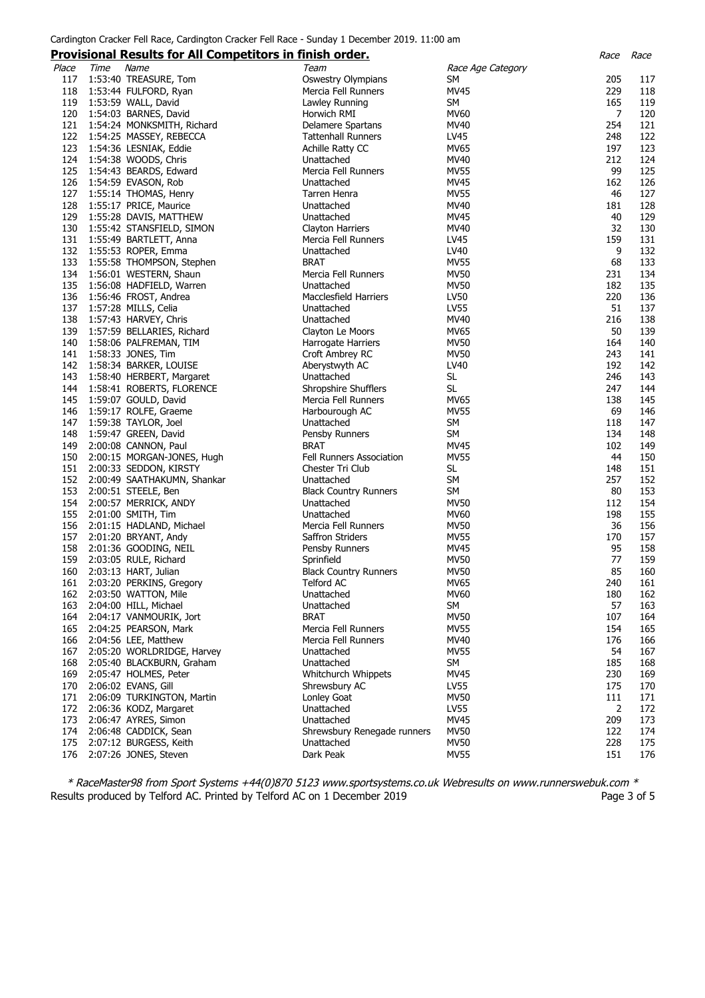#### Cardington Cracker Fell Race, Cardington Cracker Fell Race - Sunday 1 December 2019. 11:00 am

#### **Provisional Results for All Competitors in finish order.** Race Race

|       |      | <u>Frovisional Results for All Competitors in finish order.</u> |                              |                   | nacc           | nacc |
|-------|------|-----------------------------------------------------------------|------------------------------|-------------------|----------------|------|
| Place | Time | Name                                                            | Team                         | Race Age Category |                |      |
|       |      |                                                                 |                              |                   |                |      |
| 117   |      | 1:53:40 TREASURE, Tom                                           | <b>Oswestry Olympians</b>    | SM                | 205            | 117  |
| 118   |      | 1:53:44 FULFORD, Ryan                                           | Mercia Fell Runners          | <b>MV45</b>       | 229            | 118  |
| 119   |      | 1:53:59 WALL, David                                             | Lawley Running               | SM                | 165            | 119  |
|       |      |                                                                 |                              |                   |                |      |
| 120   |      | 1:54:03 BARNES, David                                           | Horwich RMI                  | MV60              | $\overline{7}$ | 120  |
| 121   |      | 1:54:24 MONKSMITH, Richard                                      | Delamere Spartans            | MV40              | 254            | 121  |
| 122   |      | 1:54:25 MASSEY, REBECCA                                         | <b>Tattenhall Runners</b>    | LV45              | 248            | 122  |
|       |      |                                                                 |                              |                   |                |      |
| 123   |      | 1:54:36 LESNIAK, Eddie                                          | Achille Ratty CC             | <b>MV65</b>       | 197            | 123  |
| 124   |      | 1:54:38 WOODS, Chris                                            | Unattached                   | MV40              | 212            | 124  |
| 125   |      |                                                                 |                              |                   | 99             | 125  |
|       |      | 1:54:43 BEARDS, Edward                                          | Mercia Fell Runners          | <b>MV55</b>       |                |      |
| 126   |      | 1:54:59 EVASON, Rob                                             | Unattached                   | MV45              | 162            | 126  |
| 127   |      | 1:55:14 THOMAS, Henry                                           | Tarren Henra                 | MV55              | 46             | 127  |
| 128   |      |                                                                 |                              | MV40              | 181            | 128  |
|       |      | 1:55:17 PRICE, Maurice                                          | Unattached                   |                   |                |      |
| 129   |      | 1:55:28 DAVIS, MATTHEW                                          | Unattached                   | <b>MV45</b>       | 40             | 129  |
| 130   |      | 1:55:42 STANSFIELD, SIMON                                       | Clayton Harriers             | MV40              | 32             | 130  |
|       |      |                                                                 |                              |                   |                |      |
| 131   |      | 1:55:49 BARTLETT, Anna                                          | Mercia Fell Runners          | LV45              | 159            | 131  |
| 132   |      | 1:55:53 ROPER, Emma                                             | Unattached                   | LV40              | 9              | 132  |
| 133   |      | 1:55:58 THOMPSON, Stephen                                       | <b>BRAT</b>                  | <b>MV55</b>       | 68             | 133  |
|       |      |                                                                 |                              |                   |                |      |
| 134   |      | 1:56:01 WESTERN, Shaun                                          | Mercia Fell Runners          | <b>MV50</b>       | 231            | 134  |
| 135   |      | 1:56:08 HADFIELD, Warren                                        | Unattached                   | <b>MV50</b>       | 182            | 135  |
| 136   |      | 1:56:46 FROST, Andrea                                           | Macclesfield Harriers        | LV50              | 220            | 136  |
|       |      |                                                                 |                              |                   |                |      |
| 137   |      | 1:57:28 MILLS, Celia                                            | Unattached                   | LV55              | 51             | 137  |
| 138   |      | 1:57:43 HARVEY, Chris                                           | Unattached                   | MV40              | 216            | 138  |
| 139   |      | 1:57:59 BELLARIES, Richard                                      | Clayton Le Moors             | <b>MV65</b>       | 50             | 139  |
|       |      |                                                                 |                              |                   |                |      |
| 140   |      | 1:58:06 PALFREMAN, TIM                                          | Harrogate Harriers           | <b>MV50</b>       | 164            | 140  |
| 141   |      | 1:58:33 JONES, Tim                                              | Croft Ambrey RC              | <b>MV50</b>       | 243            | 141  |
| 142   |      | 1:58:34 BARKER, LOUISE                                          | Aberystwyth AC               | LV40              | 192            | 142  |
|       |      |                                                                 |                              |                   |                |      |
| 143   |      | 1:58:40 HERBERT, Margaret                                       | Unattached                   | SL.               | 246            | 143  |
| 144   |      | 1:58:41 ROBERTS, FLORENCE                                       | Shropshire Shufflers         | <b>SL</b>         | 247            | 144  |
| 145   |      | 1:59:07 GOULD, David                                            | Mercia Fell Runners          | MV65              | 138            | 145  |
|       |      |                                                                 |                              |                   |                |      |
| 146   |      | 1:59:17 ROLFE, Graeme                                           | Harbourough AC               | <b>MV55</b>       | 69             | 146  |
| 147   |      | 1:59:38 TAYLOR, Joel                                            | Unattached                   | <b>SM</b>         | 118            | 147  |
| 148   |      | 1:59:47 GREEN, David                                            | Pensby Runners               | <b>SM</b>         | 134            | 148  |
|       |      |                                                                 |                              |                   |                |      |
| 149   |      | 2:00:08 CANNON, Paul                                            | BRAT                         | <b>MV45</b>       | 102            | 149  |
| 150   |      | 2:00:15 MORGAN-JONES, Hugh                                      | Fell Runners Association     | <b>MV55</b>       | 44             | 150  |
| 151   |      | 2:00:33 SEDDON, KIRSTY                                          | Chester Tri Club             | SL                | 148            | 151  |
|       |      |                                                                 |                              |                   |                |      |
| 152   |      | 2:00:49 SAATHAKUMN, Shankar                                     | Unattached                   | <b>SM</b>         | 257            | 152  |
| 153   |      | 2:00:51 STEELE, Ben                                             | <b>Black Country Runners</b> | <b>SM</b>         | 80             | 153  |
| 154   |      | 2:00:57 MERRICK, ANDY                                           | Unattached                   | <b>MV50</b>       | 112            | 154  |
|       |      |                                                                 |                              |                   |                |      |
| 155   |      | 2:01:00 SMITH, Tim                                              | Unattached                   | MV60              | 198            | 155  |
| 156   |      | 2:01:15 HADLAND, Michael                                        | Mercia Fell Runners          | <b>MV50</b>       | 36             | 156  |
| 157   |      | 2:01:20 BRYANT, Andy                                            | Saffron Striders             | <b>MV55</b>       | 170            | 157  |
|       |      |                                                                 |                              |                   |                |      |
| 158   |      | 2:01:36 GOODING, NEIL                                           | Pensby Runners               | MV45              | 95             | 158  |
| 159   |      | 2:03:05 RULE, Richard                                           | Sprinfield                   | <b>MV50</b>       | 77             | 159  |
| 160   |      | 2:03:13 HART, Julian                                            | <b>Black Country Runners</b> | <b>MV50</b>       | 85             | 160  |
|       |      |                                                                 |                              |                   |                |      |
| 161   |      | 2:03:20 PERKINS, Gregory                                        | Telford AC                   | <b>MV65</b>       | 240            | 161  |
| 162   |      | 2:03:50 WATTON, Mile                                            | Unattached                   | <b>MV60</b>       | 180            | 162  |
| 163   |      | 2:04:00 HILL, Michael                                           | Unattached                   | SM                | 57             | 163  |
|       |      |                                                                 |                              |                   |                |      |
| 164   |      | 2:04:17 VANMOURIK, Jort                                         | <b>BRAT</b>                  | <b>MV50</b>       | 107            | 164  |
| 165   |      | 2:04:25 PEARSON, Mark                                           | Mercia Fell Runners          | <b>MV55</b>       | 154            | 165  |
| 166   |      | 2:04:56 LEE, Matthew                                            | Mercia Fell Runners          | MV40              | 176            | 166  |
|       |      |                                                                 |                              |                   |                |      |
| 167   |      | 2:05:20 WORLDRIDGE, Harvey                                      | Unattached                   | <b>MV55</b>       | 54             | 167  |
| 168   |      | 2:05:40 BLACKBURN, Graham                                       | Unattached                   | SM                | 185            | 168  |
| 169   |      | 2:05:47 HOLMES, Peter                                           | Whitchurch Whippets          | <b>MV45</b>       | 230            | 169  |
|       |      |                                                                 |                              |                   |                |      |
| 170   |      | 2:06:02 EVANS, Gill                                             | Shrewsbury AC                | <b>LV55</b>       | 175            | 170  |
| 171   |      | 2:06:09 TURKINGTON, Martin                                      | Lonley Goat                  | <b>MV50</b>       | 111            | 171  |
| 172   |      | 2:06:36 KODZ, Margaret                                          | Unattached                   | <b>LV55</b>       | $\overline{2}$ | 172  |
| 173   |      |                                                                 | Unattached                   | <b>MV45</b>       | 209            | 173  |
|       |      | 2:06:47 AYRES, Simon                                            |                              |                   |                |      |
| 174   |      | 2:06:48 CADDICK, Sean                                           | Shrewsbury Renegade runners  | <b>MV50</b>       | 122            | 174  |
| 175   |      | 2:07:12 BURGESS, Keith                                          | Unattached                   | <b>MV50</b>       | 228            | 175  |
| 176   |      |                                                                 | Dark Peak                    | <b>MV55</b>       | 151            | 176  |
|       |      | 2:07:26 JONES, Steven                                           |                              |                   |                |      |
|       |      |                                                                 |                              |                   |                |      |

\* RaceMaster98 from Sport Systems +44(0)870 5123 www.sportsystems.co.uk Webresults on www.runnerswebuk.com \* Results produced by Telford AC. Printed by Telford AC on 1 December 2019 Page 3 of 5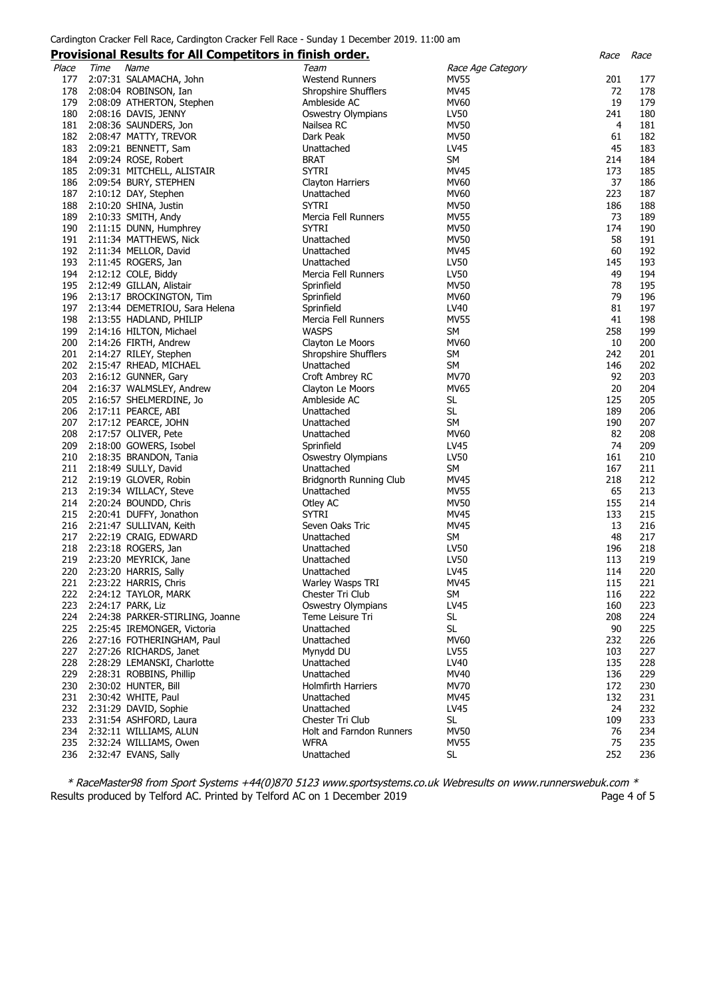### Cardington Cracker Fell Race, Cardington Cracker Fell Race - Sunday 1 December 2019. 11:00 am

#### **Provisional Results for All Competitors in finish order.** Race Race

|       |      | <u>Frovisional Results for All Competitors in finish order.</u> |                           |                   | nacc | nacc |
|-------|------|-----------------------------------------------------------------|---------------------------|-------------------|------|------|
| Place | Time | Name                                                            | Team                      | Race Age Category |      |      |
| 177   |      | 2:07:31 SALAMACHA, John                                         | <b>Westend Runners</b>    | <b>MV55</b>       | 201  | 177  |
|       |      |                                                                 |                           |                   |      |      |
| 178   |      | 2:08:04 ROBINSON, Ian                                           | Shropshire Shufflers      | <b>MV45</b>       | 72   | 178  |
| 179   |      | 2:08:09 ATHERTON, Stephen                                       | Ambleside AC              | <b>MV60</b>       | 19   | 179  |
| 180   |      | 2:08:16 DAVIS, JENNY                                            | Oswestry Olympians        | LV50              | 241  | 180  |
| 181   |      | 2:08:36 SAUNDERS, Jon                                           | Nailsea RC                | <b>MV50</b>       | 4    | 181  |
|       |      |                                                                 |                           |                   |      |      |
| 182   |      | 2:08:47 MATTY, TREVOR                                           | Dark Peak                 | MV50              | 61   | 182  |
| 183   |      | 2:09:21 BENNETT, Sam                                            | Unattached                | LV45              | 45   | 183  |
| 184   |      | 2:09:24 ROSE, Robert                                            | BRAT                      | <b>SM</b>         | 214  | 184  |
| 185   |      | 2:09:31 MITCHELL, ALISTAIR                                      | <b>SYTRI</b>              | MV45              | 173  | 185  |
|       |      |                                                                 |                           |                   |      |      |
| 186   |      | 2:09:54 BURY, STEPHEN                                           | Clayton Harriers          | MV60              | 37   | 186  |
| 187   |      | 2:10:12 DAY, Stephen                                            | Unattached                | MV60              | 223  | 187  |
| 188   |      | 2:10:20 SHINA, Justin                                           | <b>SYTRI</b>              | <b>MV50</b>       | 186  | 188  |
| 189   |      | 2:10:33 SMITH, Andy                                             | Mercia Fell Runners       | <b>MV55</b>       | 73   | 189  |
| 190   |      |                                                                 | <b>SYTRI</b>              |                   | 174  |      |
|       |      | 2:11:15 DUNN, Humphrey                                          |                           | <b>MV50</b>       |      | 190  |
| 191   |      | 2:11:34 MATTHEWS, Nick                                          | Unattached                | <b>MV50</b>       | 58   | 191  |
| 192   |      | 2:11:34 MELLOR, David                                           | Unattached                | MV45              | 60   | 192  |
| 193   |      | 2:11:45 ROGERS, Jan                                             | Unattached                | LV50              | 145  | 193  |
| 194   |      | 2:12:12 COLE, Biddy                                             | Mercia Fell Runners       | LV50              | 49   | 194  |
|       |      |                                                                 |                           |                   |      |      |
| 195   |      | 2:12:49 GILLAN, Alistair                                        | Sprinfield                | <b>MV50</b>       | 78   | 195  |
| 196   |      | 2:13:17 BROCKINGTON, Tim                                        | Sprinfield                | <b>MV60</b>       | 79   | 196  |
| 197   |      | 2:13:44 DEMETRIOU, Sara Helena                                  | Sprinfield                | LV40              | 81   | 197  |
| 198   |      | 2:13:55 HADLAND, PHILIP                                         | Mercia Fell Runners       | <b>MV55</b>       | 41   | 198  |
|       |      |                                                                 | <b>WASPS</b>              |                   |      |      |
| 199   |      | 2:14:16 HILTON, Michael                                         |                           | <b>SM</b>         | 258  | 199  |
| 200   |      | 2:14:26 FIRTH, Andrew                                           | Clayton Le Moors          | MV60              | 10   | 200  |
| 201   |      | 2:14:27 RILEY, Stephen                                          | Shropshire Shufflers      | SM                | 242  | 201  |
| 202   |      | 2:15:47 RHEAD, MICHAEL                                          | Unattached                | SM                | 146  | 202  |
| 203   |      |                                                                 |                           | MV70              | 92   | 203  |
|       |      | 2:16:12 GUNNER, Gary                                            | Croft Ambrey RC           |                   |      |      |
| 204   |      | 2:16:37 WALMSLEY, Andrew                                        | Clayton Le Moors          | <b>MV65</b>       | 20   | 204  |
| 205   |      | 2:16:57 SHELMERDINE, Jo                                         | Ambleside AC              | <b>SL</b>         | 125  | 205  |
| 206   |      | 2:17:11 PEARCE, ABI                                             | Unattached                | SL                | 189  | 206  |
| 207   |      | 2:17:12 PEARCE, JOHN                                            | Unattached                | <b>SM</b>         | 190  | 207  |
|       |      |                                                                 |                           |                   |      |      |
| 208   |      | 2:17:57 OLIVER, Pete                                            | Unattached                | <b>MV60</b>       | 82   | 208  |
| 209   |      | 2:18:00 GOWERS, Isobel                                          | Sprinfield                | LV45              | 74   | 209  |
| 210   |      | 2:18:35 BRANDON, Tania                                          | <b>Oswestry Olympians</b> | LV50              | 161  | 210  |
| 211   |      | 2:18:49 SULLY, David                                            | Unattached                | SM                | 167  | 211  |
|       |      |                                                                 |                           |                   |      |      |
| 212   |      | 2:19:19 GLOVER, Robin                                           | Bridgnorth Running Club   | MV45              | 218  | 212  |
| 213   |      | 2:19:34 WILLACY, Steve                                          | Unattached                | <b>MV55</b>       | 65   | 213  |
| 214   |      | 2:20:24 BOUNDD, Chris                                           | Otley AC                  | <b>MV50</b>       | 155  | 214  |
| 215   |      | 2:20:41 DUFFY, Jonathon                                         | <b>SYTRI</b>              | MV45              | 133  | 215  |
| 216   |      | 2:21:47 SULLIVAN, Keith                                         |                           | <b>MV45</b>       | 13   | 216  |
|       |      |                                                                 | Seven Oaks Tric           |                   |      |      |
| 217   |      | 2:22:19 CRAIG, EDWARD                                           | Unattached                | SM                | 48   | 217  |
| 218   |      | 2:23:18 ROGERS, Jan                                             | Unattached                | LV50              | 196  | 218  |
| 219   |      | 2:23:20 MEYRICK, Jane                                           | Unattached                | LV50              | 113  | 219  |
| 220   |      | 2:23:20 HARRIS, Sally                                           | Unattached                | LV45              | 114  | 220  |
|       |      |                                                                 | Warley Wasps TRI          | <b>MV45</b>       | 115  |      |
| 221   |      | 2:23:22 HARRIS, Chris                                           |                           |                   |      | 221  |
| 222   |      | 2:24:12 TAYLOR, MARK                                            | Chester Tri Club          | SM                | 116  | 222  |
| 223   |      | 2:24:17 PARK, Liz                                               | <b>Oswestry Olympians</b> | LV45              | 160  | 223  |
| 224   |      | 2:24:38 PARKER-STIRLING, Joanne                                 | Teme Leisure Tri          | SL                | 208  | 224  |
| 225   |      | 2:25:45 IREMONGER, Victoria                                     | Unattached                | SL                | 90   | 225  |
|       |      |                                                                 |                           |                   |      |      |
| 226   |      | 2:27:16 FOTHERINGHAM, Paul                                      | Unattached                | <b>MV60</b>       | 232  | 226  |
| 227   |      | 2:27:26 RICHARDS, Janet                                         | Mynydd DU                 | <b>LV55</b>       | 103  | 227  |
| 228   |      | 2:28:29 LEMANSKI, Charlotte                                     | Unattached                | LV40              | 135  | 228  |
| 229   |      | 2:28:31 ROBBINS, Phillip                                        | Unattached                | MV40              | 136  | 229  |
|       |      |                                                                 |                           |                   |      |      |
| 230   |      | 2:30:02 HUNTER, Bill                                            | Holmfirth Harriers        | <b>MV70</b>       | 172  | 230  |
| 231   |      | 2:30:42 WHITE, Paul                                             | Unattached                | MV45              | 132  | 231  |
| 232   |      | 2:31:29 DAVID, Sophie                                           | Unattached                | LV45              | 24   | 232  |
| 233   |      | 2:31:54 ASHFORD, Laura                                          | Chester Tri Club          | <b>SL</b>         | 109  | 233  |
| 234   |      | 2:32:11 WILLIAMS, ALUN                                          | Holt and Farndon Runners  | <b>MV50</b>       | 76   | 234  |
|       |      |                                                                 |                           |                   |      |      |
| 235   |      | 2:32:24 WILLIAMS, Owen                                          | <b>WFRA</b>               | <b>MV55</b>       | 75   | 235  |
| 236   |      | 2:32:47 EVANS, Sally                                            | Unattached                | <b>SL</b>         | 252  | 236  |
|       |      |                                                                 |                           |                   |      |      |

\* RaceMaster98 from Sport Systems +44(0)870 5123 www.sportsystems.co.uk Webresults on www.runnerswebuk.com \* Results produced by Telford AC. Printed by Telford AC on 1 December 2019 **Page 4 of 5** Page 4 of 5